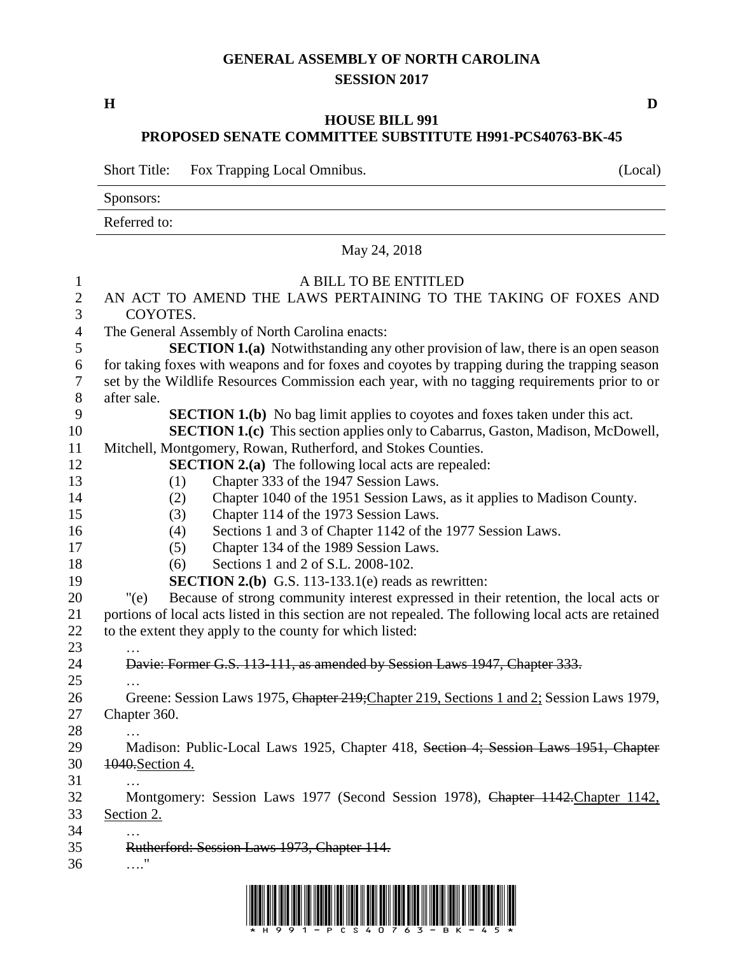## **GENERAL ASSEMBLY OF NORTH CAROLINA SESSION 2017**

**H D**

## **HOUSE BILL 991 PROPOSED SENATE COMMITTEE SUBSTITUTE H991-PCS40763-BK-45**

Short Title: Fox Trapping Local Omnibus. (Local)

Sponsors:

Referred to:

## May 24, 2018

| $\mathbf{1}$     | A BILL TO BE ENTITLED                                                                                 |
|------------------|-------------------------------------------------------------------------------------------------------|
| $\mathbf{2}$     | AN ACT TO AMEND THE LAWS PERTAINING TO THE TAKING OF FOXES AND                                        |
| 3                | COYOTES.                                                                                              |
| $\overline{4}$   | The General Assembly of North Carolina enacts:                                                        |
| 5                | <b>SECTION 1.(a)</b> Notwithstanding any other provision of law, there is an open season              |
| $\boldsymbol{6}$ | for taking foxes with weapons and for foxes and coyotes by trapping during the trapping season        |
| $\tau$           | set by the Wildlife Resources Commission each year, with no tagging requirements prior to or          |
| $8\,$            | after sale.                                                                                           |
| 9                | <b>SECTION 1.(b)</b> No bag limit applies to coyotes and foxes taken under this act.                  |
| 10               | <b>SECTION 1.(c)</b> This section applies only to Cabarrus, Gaston, Madison, McDowell,                |
| 11               | Mitchell, Montgomery, Rowan, Rutherford, and Stokes Counties.                                         |
| 12               | <b>SECTION 2.(a)</b> The following local acts are repealed:                                           |
| 13               | Chapter 333 of the 1947 Session Laws.<br>(1)                                                          |
| 14               | Chapter 1040 of the 1951 Session Laws, as it applies to Madison County.<br>(2)                        |
| 15               | Chapter 114 of the 1973 Session Laws.<br>(3)                                                          |
| 16               | Sections 1 and 3 of Chapter 1142 of the 1977 Session Laws.<br>(4)                                     |
| 17               | Chapter 134 of the 1989 Session Laws.<br>(5)                                                          |
| 18               | Sections 1 and 2 of S.L. 2008-102.<br>(6)                                                             |
| 19               | <b>SECTION 2.(b)</b> G.S. 113-133.1(e) reads as rewritten:                                            |
| 20               | Because of strong community interest expressed in their retention, the local acts or<br>"(e)          |
| 21               | portions of local acts listed in this section are not repealed. The following local acts are retained |
| 22               | to the extent they apply to the county for which listed:                                              |
| 23               |                                                                                                       |
| 24               | Davie: Former G.S. 113-111, as amended by Session Laws 1947, Chapter 333.                             |
| 25               |                                                                                                       |
| 26               | Greene: Session Laws 1975, Chapter 219; Chapter 219, Sections 1 and 2; Session Laws 1979,             |
| 27               | Chapter 360.                                                                                          |
| 28               |                                                                                                       |
| 29               | Madison: Public-Local Laws 1925, Chapter 418, Section 4; Session Laws 1951, Chapter                   |
| 30               | 1040. Section 4.                                                                                      |
| 31               |                                                                                                       |
| 32               | Montgomery: Session Laws 1977 (Second Session 1978), Chapter 1142. Chapter 1142,                      |
| 33               | Section 2.                                                                                            |
| 34               | $\cdots$                                                                                              |
| 35               | Rutherford: Session Laws 1973, Chapter 114.                                                           |
| 36               | . "                                                                                                   |